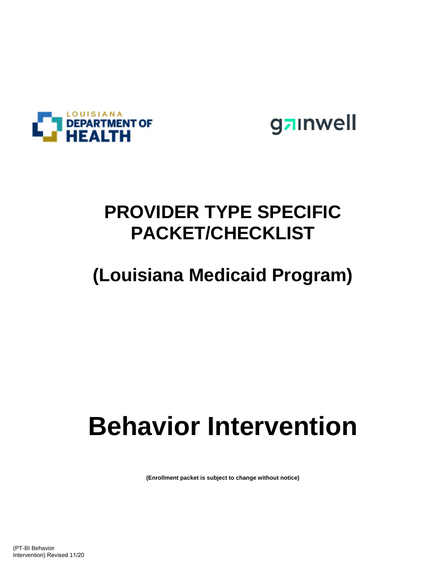



## **PROVIDER TYPE SPECIFIC PACKET/CHECKLIST**

# **(Louisiana Medicaid Program)**

# **Behavior Intervention**

**(Enrollment packet is subject to change without notice)**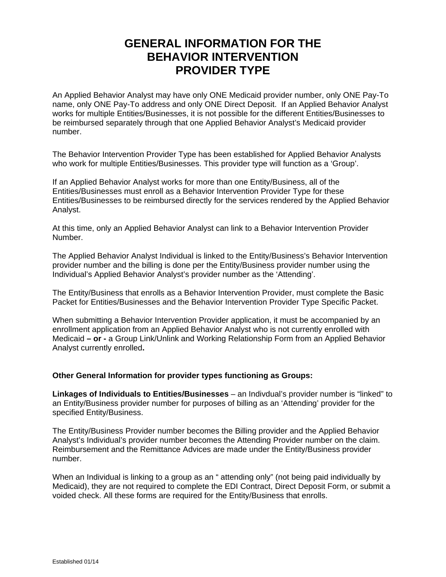### **GENERAL INFORMATION FOR THE BEHAVIOR INTERVENTION PROVIDER TYPE**

An Applied Behavior Analyst may have only ONE Medicaid provider number, only ONE Pay-To name, only ONE Pay-To address and only ONE Direct Deposit. If an Applied Behavior Analyst works for multiple Entities/Businesses, it is not possible for the different Entities/Businesses to be reimbursed separately through that one Applied Behavior Analyst's Medicaid provider number.

The Behavior Intervention Provider Type has been established for Applied Behavior Analysts who work for multiple Entities/Businesses. This provider type will function as a 'Group'.

If an Applied Behavior Analyst works for more than one Entity/Business, all of the Entities/Businesses must enroll as a Behavior Intervention Provider Type for these Entities/Businesses to be reimbursed directly for the services rendered by the Applied Behavior Analyst.

At this time, only an Applied Behavior Analyst can link to a Behavior Intervention Provider Number.

The Applied Behavior Analyst Individual is linked to the Entity/Business's Behavior Intervention provider number and the billing is done per the Entity/Business provider number using the Individual's Applied Behavior Analyst's provider number as the 'Attending'.

The Entity/Business that enrolls as a Behavior Intervention Provider, must complete the Basic Packet for Entities/Businesses and the Behavior Intervention Provider Type Specific Packet.

When submitting a Behavior Intervention Provider application, it must be accompanied by an enrollment application from an Applied Behavior Analyst who is not currently enrolled with Medicaid **– or -** a Group Link/Unlink and Working Relationship Form from an Applied Behavior Analyst currently enrolled**.** 

#### **Other General Information for provider types functioning as Groups:**

**Linkages of Individuals to Entities/Businesses** – an Indivdual's provider number is "linked" to an Entity/Business provider number for purposes of billing as an 'Attending' provider for the specified Entity/Business.

The Entity/Business Provider number becomes the Billing provider and the Applied Behavior Analyst's Individual's provider number becomes the Attending Provider number on the claim. Reimbursement and the Remittance Advices are made under the Entity/Business provider number.

When an Individual is linking to a group as an " attending only" (not being paid individually by Medicaid), they are not required to complete the EDI Contract, Direct Deposit Form, or submit a voided check. All these forms are required for the Entity/Business that enrolls.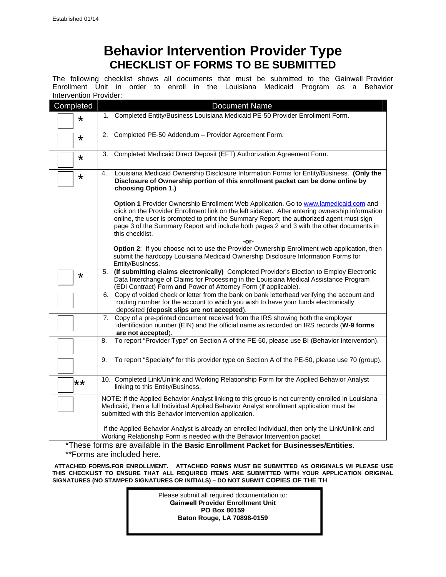## **Behavior Intervention Provider Type CHECKLIST OF FORMS TO BE SUBMITTED**

The following checklist shows all documents that must be submitted to the Gainwell Provider Enrollment Unit in order to enroll in the Louisiana Medicaid Program as a Behavior Intervention Provider:

| Completed | <b>Document Name</b>                                                                                                                                                                                                                                                                                                                                                                              |  |  |  |  |  |  |
|-----------|---------------------------------------------------------------------------------------------------------------------------------------------------------------------------------------------------------------------------------------------------------------------------------------------------------------------------------------------------------------------------------------------------|--|--|--|--|--|--|
| $\star$   | 1. Completed Entity/Business Louisiana Medicaid PE-50 Provider Enrollment Form.                                                                                                                                                                                                                                                                                                                   |  |  |  |  |  |  |
| $\star$   | 2. Completed PE-50 Addendum - Provider Agreement Form.                                                                                                                                                                                                                                                                                                                                            |  |  |  |  |  |  |
| *         | Completed Medicaid Direct Deposit (EFT) Authorization Agreement Form.<br>3.                                                                                                                                                                                                                                                                                                                       |  |  |  |  |  |  |
| $\star$   | Louisiana Medicaid Ownership Disclosure Information Forms for Entity/Business. (Only the<br>4.<br>Disclosure of Ownership portion of this enrollment packet can be done online by<br>choosing Option 1.)                                                                                                                                                                                          |  |  |  |  |  |  |
|           | Option 1 Provider Ownership Enrollment Web Application. Go to www.lamedicaid.com and<br>click on the Provider Enrollment link on the left sidebar. After entering ownership information<br>online, the user is prompted to print the Summary Report; the authorized agent must sign<br>page 3 of the Summary Report and include both pages 2 and 3 with the other documents in<br>this checklist. |  |  |  |  |  |  |
|           | -or-<br>Option 2: If you choose not to use the Provider Ownership Enrollment web application, then<br>submit the hardcopy Louisiana Medicaid Ownership Disclosure Information Forms for<br>Entity/Business.                                                                                                                                                                                       |  |  |  |  |  |  |
| $\star$   | (If submitting claims electronically) Completed Provider's Election to Employ Electronic<br>5.<br>Data Interchange of Claims for Processing in the Louisiana Medical Assistance Program<br>(EDI Contract) Form and Power of Attorney Form (if applicable).                                                                                                                                        |  |  |  |  |  |  |
|           | 6. Copy of voided check or letter from the bank on bank letterhead verifying the account and<br>routing number for the account to which you wish to have your funds electronically<br>deposited (deposit slips are not accepted).                                                                                                                                                                 |  |  |  |  |  |  |
|           | Copy of a pre-printed document received from the IRS showing both the employer<br>7.<br>identification number (EIN) and the official name as recorded on IRS records (W-9 forms<br>are not accepted).                                                                                                                                                                                             |  |  |  |  |  |  |
|           | To report "Provider Type" on Section A of the PE-50, please use BI (Behavior Intervention).<br>8.                                                                                                                                                                                                                                                                                                 |  |  |  |  |  |  |
|           | To report "Specialty" for this provider type on Section A of the PE-50, please use 70 (group).<br>9.                                                                                                                                                                                                                                                                                              |  |  |  |  |  |  |
| **        | 10. Completed Link/Unlink and Working Relationship Form for the Applied Behavior Analyst<br>linking to this Entity/Business.                                                                                                                                                                                                                                                                      |  |  |  |  |  |  |
|           | NOTE: If the Applied Behavior Analyst linking to this group is not currently enrolled in Louisiana<br>Medicaid, then a full Individual Applied Behavior Analyst enrollment application must be<br>submitted with this Behavior Intervention application.                                                                                                                                          |  |  |  |  |  |  |
|           | If the Applied Behavior Analyst is already an enrolled Individual, then only the Link/Unlink and<br>Working Relationship Form is needed with the Behavior Intervention packet.<br>*Those forms are available in the <b>Peais Envellment Besizet for Puningpage/Entities</b>                                                                                                                       |  |  |  |  |  |  |

\*These forms are available in the **Basic Enrollment Packet for Businesses/Entities**. \*\*Forms are included here.

**ATTACHED FORMS***.***FOR ENROLLMENT. ATTACHED FORMS MUST BE SUBMITTED AS ORIGINALS WI PLEASE USE THIS CHECKLIST TO ENSURE THAT ALL REQUIRED ITEMS ARE SUBMITTED WITH YOUR APPLICATION ORIGINAL SIGNATURES (NO STAMPED SIGNATURES OR INITIALS) – DO NOT SUBMIT COPIES OF THE TH** 

> Please submit all required documentation to: **Gainwell Provider Enrollment Unit PO Box 80159 Baton Rouge, LA 70898-0159**